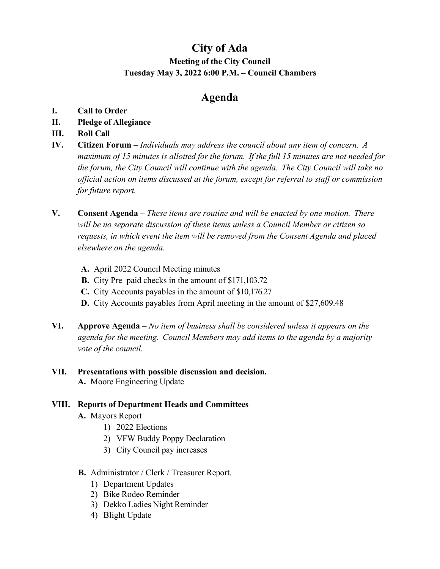# **City of Ada Meeting of the City Council Tuesday May 3, 2022 6:00 P.M. – Council Chambers**

## **Agenda**

- **I. Call to Order**
- **II. Pledge of Allegiance**
- **III. Roll Call**
- **IV. Citizen Forum**  *Individuals may address the council about any item of concern. A maximum of 15 minutes is allotted for the forum. If the full 15 minutes are not needed for the forum, the City Council will continue with the agenda. The City Council will take no official action on items discussed at the forum, except for referral to staff or commission for future report.*
- **V. Consent Agenda**  *These items are routine and will be enacted by one motion. There will be no separate discussion of these items unless a Council Member or citizen so requests, in which event the item will be removed from the Consent Agenda and placed elsewhere on the agenda.*
	- **A.** April 2022 Council Meeting minutes
	- **B.** City Pre–paid checks in the amount of \$171,103.72
	- **C.** City Accounts payables in the amount of \$10,176.27
	- **D.** City Accounts payables from April meeting in the amount of \$27,609.48
- **VI. Approve Agenda**  *No item of business shall be considered unless it appears on the agenda for the meeting. Council Members may add items to the agenda by a majority vote of the council.*

#### **VII. Presentations with possible discussion and decision. A.** Moore Engineering Update

## **VIII. Reports of Department Heads and Committees**

- **A.** Mayors Report
	- 1) 2022 Elections
	- 2) VFW Buddy Poppy Declaration
	- 3) City Council pay increases
- **B.** Administrator / Clerk / Treasurer Report.
	- 1) Department Updates
	- 2) Bike Rodeo Reminder
	- 3) Dekko Ladies Night Reminder
	- 4) Blight Update